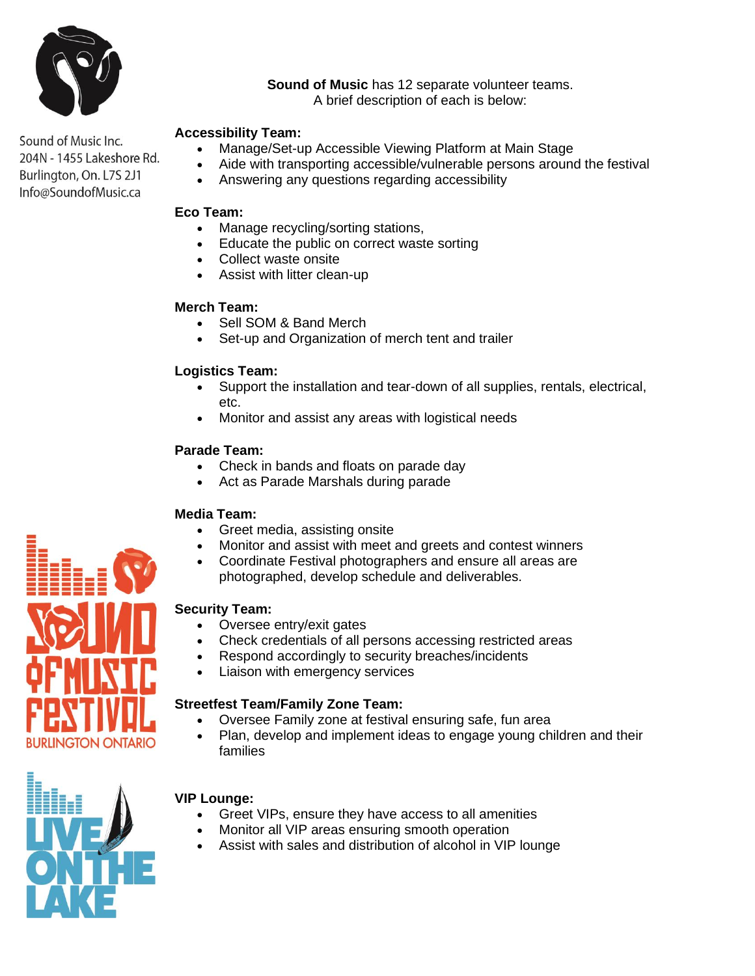

**Sound of Music** has 12 separate volunteer teams. A brief description of each is below:

Sound of Music Inc. 204N - 1455 Lakeshore Rd. Burlington, On. L7S 2J1 Info@SoundofMusic.ca

# **Accessibility Team:**

- Manage/Set-up Accessible Viewing Platform at Main Stage
- Aide with transporting accessible/vulnerable persons around the festival
- Answering any questions regarding accessibility

### **Eco Team:**

- Manage recycling/sorting stations,
- Educate the public on correct waste sorting
- Collect waste onsite
- Assist with litter clean-up

### **Merch Team:**

- Sell SOM & Band Merch
- Set-up and Organization of merch tent and trailer

## **Logistics Team:**

- Support the installation and tear-down of all supplies, rentals, electrical, etc.
- Monitor and assist any areas with logistical needs

## **Parade Team:**

- Check in bands and floats on parade day
- Act as Parade Marshals during parade

# **Media Team:**

- Greet media, assisting onsite
- Monitor and assist with meet and greets and contest winners
- Coordinate Festival photographers and ensure all areas are photographed, develop schedule and deliverables.

# **Security Team:**

- Oversee entry/exit gates
- Check credentials of all persons accessing restricted areas
- Respond accordingly to security breaches/incidents
- Liaison with emergency services

# **Streetfest Team/Family Zone Team:**

- Oversee Family zone at festival ensuring safe, fun area
- Plan, develop and implement ideas to engage young children and their families

- **VIP Lounge:**
	- Greet VIPs, ensure they have access to all amenities
	- Monitor all VIP areas ensuring smooth operation
	- Assist with sales and distribution of alcohol in VIP lounge